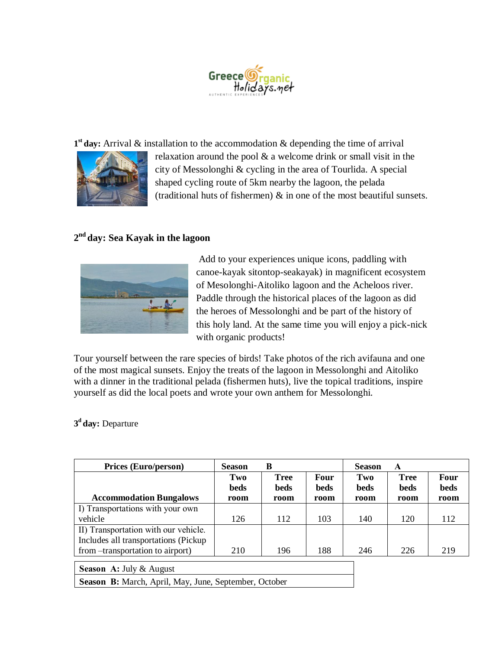

1<sup>st</sup> day: Arrival & installation to the accommodation & depending the time of arrival



relaxation around the pool & a welcome drink or small visit in the city of Messolonghi & cycling in the area of Tourlida. A special shaped cycling route of 5km nearby the lagoon, the pelada (traditional huts of fishermen) & in one of the most beautiful sunsets.

## **2 nd day: Sea Kayak in the lagoon**



Add to your experiences unique icons, paddling with canoe-kayak sitontop-seakayak) in magnificent ecosystem of Mesolonghi-Aitoliko lagoon and the Acheloos river. Paddle through the historical places of the lagoon as did the heroes of Messolonghi and be part of the history of this holy land. At the same time you will enjoy a pick-nick with organic products!

Tour yourself between the rare species of birds! Take photos of the rich avifauna and one of the most magical sunsets. Enjoy the treats of the lagoon in Messolonghi and Aitoliko with a dinner in the traditional pelada (fishermen huts), live the topical traditions, inspire yourself as did the local poets and wrote your own anthem for Messolonghi.

**3 <sup>d</sup>day:** Departure

| <b>Prices (Euro/person)</b>                                                   | <b>Season</b>      | B                   |                     | <b>Season</b> | A                          |              |
|-------------------------------------------------------------------------------|--------------------|---------------------|---------------------|---------------|----------------------------|--------------|
|                                                                               | Two<br><b>beds</b> | <b>Tree</b><br>beds | Four<br><b>beds</b> | Two<br>beds   | <b>Tree</b><br><b>beds</b> | Four<br>beds |
| <b>Accommodation Bungalows</b>                                                | room               | room                | room                | room          | room                       | room         |
| I) Transportations with your own                                              |                    |                     |                     |               |                            |              |
| vehicle                                                                       | 126                | 112                 | 103                 | 140           | 120                        | 112          |
| II) Transportation with our vehicle.<br>Includes all transportations (Pickup) |                    |                     |                     |               |                            |              |
| from –transportation to airport)                                              | 210                | 196                 | 188                 | 246           | 226                        | 219          |
| $\sim$<br>$\cdots$ $\cdots$                                                   |                    |                     |                     |               |                            |              |

## **Season Α:** July & August

**Season Β:** March, April, May, June, September, October